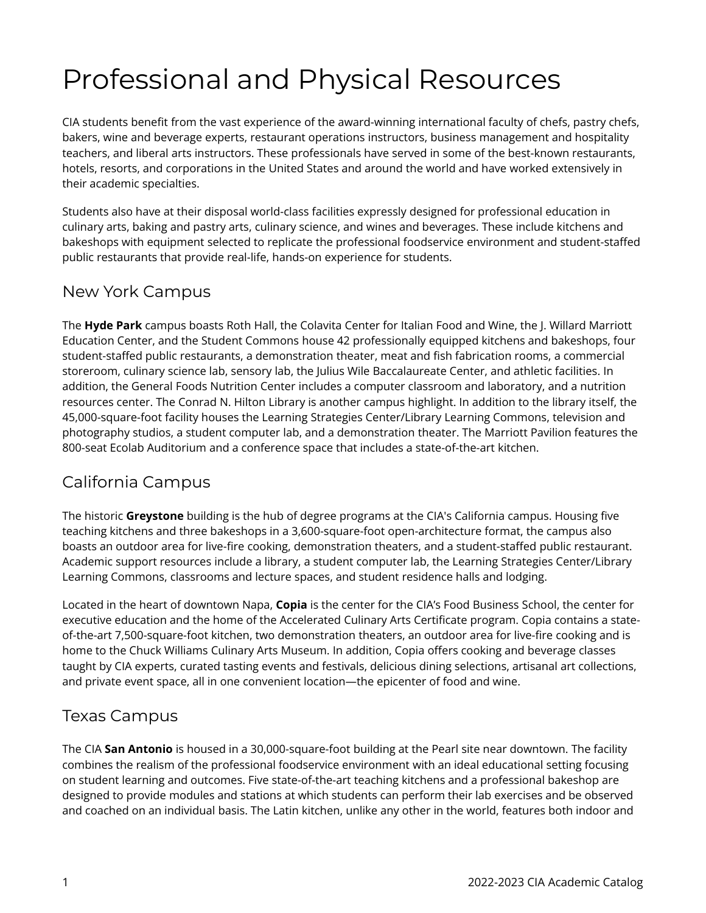# Professional and Physical Resources

CIA students benefit from the vast experience of the award-winning international faculty of chefs, pastry chefs, bakers, wine and beverage experts, restaurant operations instructors, business management and hospitality teachers, and liberal arts instructors. These professionals have served in some of the best-known restaurants, hotels, resorts, and corporations in the United States and around the world and have worked extensively in their academic specialties.

Students also have at their disposal world-class facilities expressly designed for professional education in culinary arts, baking and pastry arts, culinary science, and wines and beverages. These include kitchens and bakeshops with equipment selected to replicate the professional foodservice environment and student-staffed public restaurants that provide real-life, hands-on experience for students.

#### New York Campus

The **Hyde Park** campus boasts Roth Hall, the Colavita Center for Italian Food and Wine, the J. Willard Marriott Education Center, and the Student Commons house 42 professionally equipped kitchens and bakeshops, four student-staffed public restaurants, a demonstration theater, meat and fish fabrication rooms, a commercial storeroom, culinary science lab, sensory lab, the Julius Wile Baccalaureate Center, and athletic facilities. In addition, the General Foods Nutrition Center includes a computer classroom and laboratory, and a nutrition resources center. The Conrad N. Hilton Library is another campus highlight. In addition to the library itself, the 45,000-square-foot facility houses the Learning Strategies Center/Library Learning Commons, television and photography studios, a student computer lab, and a demonstration theater. The Marriott Pavilion features the 800-seat Ecolab Auditorium and a conference space that includes a state-of-the-art kitchen.

### California Campus

The historic **Greystone** building is the hub of degree programs at the CIA's California campus. Housing five teaching kitchens and three bakeshops in a 3,600-square-foot open-architecture format, the campus also boasts an outdoor area for live-fire cooking, demonstration theaters, and a student-staffed public restaurant. Academic support resources include a library, a student computer lab, the Learning Strategies Center/Library Learning Commons, classrooms and lecture spaces, and student residence halls and lodging.

Located in the heart of downtown Napa, **Copia** is the center for the CIA's Food Business School, the center for executive education and the home of the Accelerated Culinary Arts Certificate program. Copia contains a stateof-the-art 7,500-square-foot kitchen, two demonstration theaters, an outdoor area for live-fire cooking and is home to the Chuck Williams Culinary Arts Museum. In addition, Copia offers cooking and beverage classes taught by CIA experts, curated tasting events and festivals, delicious dining selections, artisanal art collections, and private event space, all in one convenient location—the epicenter of food and wine.

### Texas Campus

The CIA **San Antonio** is housed in a 30,000-square-foot building at the Pearl site near downtown. The facility combines the realism of the professional foodservice environment with an ideal educational setting focusing on student learning and outcomes. Five state-of-the-art teaching kitchens and a professional bakeshop are designed to provide modules and stations at which students can perform their lab exercises and be observed and coached on an individual basis. The Latin kitchen, unlike any other in the world, features both indoor and